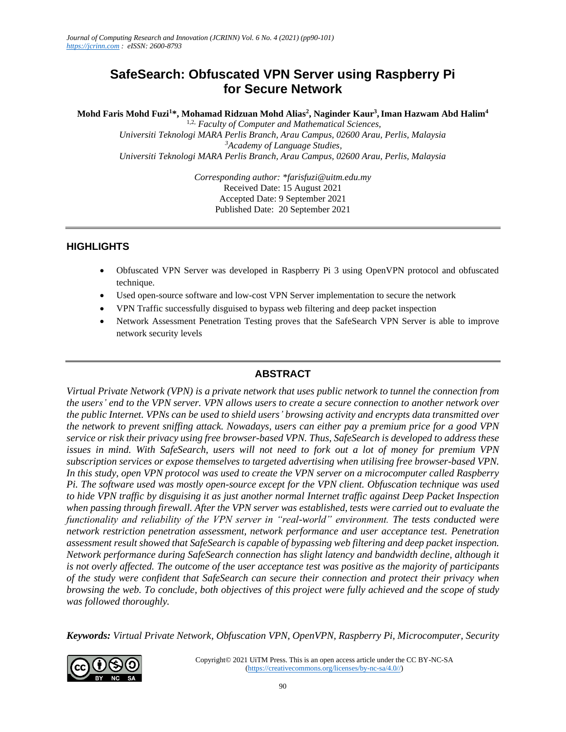# **SafeSearch: Obfuscated VPN Server using Raspberry Pi for Secure Network**

**Mohd Faris Mohd Fuzi<sup>1</sup>\*, Mohamad Ridzuan Mohd Alias<sup>2</sup> , Naginder Kaur<sup>3</sup> ,Iman Hazwam Abd Halim<sup>4</sup>**

1,2, *Faculty of Computer and Mathematical Sciences, Universiti Teknologi MARA Perlis Branch, Arau Campus, 02600 Arau, Perlis, Malaysia <sup>3</sup>Academy of Language Studies, Universiti Teknologi MARA Perlis Branch, Arau Campus, 02600 Arau, Perlis, Malaysia*

> *Corresponding author: \*farisfuzi@uitm.edu.my* Received Date: 15 August 2021 Accepted Date: 9 September 2021 Published Date: 20 September 2021

### **HIGHLIGHTS**

- Obfuscated VPN Server was developed in Raspberry Pi 3 using OpenVPN protocol and obfuscated technique.
- Used open-source software and low-cost VPN Server implementation to secure the network
- VPN Traffic successfully disguised to bypass web filtering and deep packet inspection
- Network Assessment Penetration Testing proves that the SafeSearch VPN Server is able to improve network security levels

## **ABSTRACT**

*Virtual Private Network (VPN) is a private network that uses public network to tunnel the connection from the users' end to the VPN server. VPN allows users to create a secure connection to another network over the public Internet. VPNs can be used to shield users' browsing activity and encrypts data transmitted over the network to prevent sniffing attack. Nowadays, users can either pay a premium price for a good VPN service or risk their privacy using free browser-based VPN. Thus, SafeSearch is developed to address these issues in mind. With SafeSearch, users will not need to fork out a lot of money for premium VPN subscription services or expose themselves to targeted advertising when utilising free browser-based VPN. In this study, open VPN protocol was used to create the VPN server on a microcomputer called Raspberry Pi. The software used was mostly open-source except for the VPN client. Obfuscation technique was used to hide VPN traffic by disguising it as just another normal Internet traffic against Deep Packet Inspection when passing through firewall. After the VPN server was established, tests were carried out to evaluate the functionality and reliability of the VPN server in "real-world" environment. The tests conducted were network restriction penetration assessment, network performance and user acceptance test. Penetration assessment result showed that SafeSearch is capable of bypassing web filtering and deep packet inspection. Network performance during SafeSearch connection has slight latency and bandwidth decline, although it is not overly affected. The outcome of the user acceptance test was positive as the majority of participants of the study were confident that SafeSearch can secure their connection and protect their privacy when browsing the web. To conclude, both objectives of this project were fully achieved and the scope of study was followed thoroughly.* 

*Keywords: Virtual Private Network, Obfuscation VPN, OpenVPN, Raspberry Pi, Microcomputer, Security* 

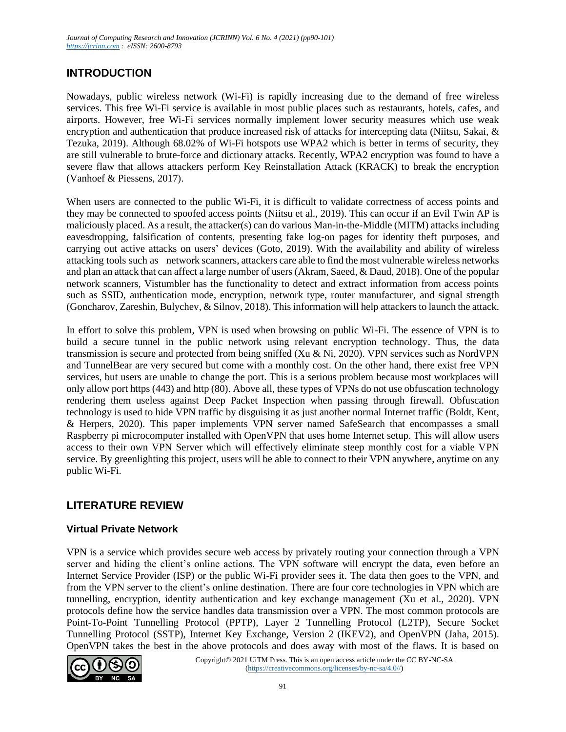# **INTRODUCTION**

Nowadays, public wireless network (Wi-Fi) is rapidly increasing due to the demand of free wireless services. This free Wi-Fi service is available in most public places such as restaurants, hotels, cafes, and airports. However, free Wi-Fi services normally implement lower security measures which use weak encryption and authentication that produce increased risk of attacks for intercepting data (Niitsu, Sakai, & Tezuka, 2019). Although 68.02% of Wi-Fi hotspots use WPA2 which is better in terms of security, they are still vulnerable to brute-force and dictionary attacks. Recently, WPA2 encryption was found to have a severe flaw that allows attackers perform Key Reinstallation Attack (KRACK) to break the encryption (Vanhoef & Piessens, 2017).

When users are connected to the public Wi-Fi, it is difficult to validate correctness of access points and they may be connected to spoofed access points (Niitsu et al., 2019). This can occur if an Evil Twin AP is maliciously placed. As a result, the attacker(s) can do various Man-in-the-Middle (MITM) attacks including eavesdropping, falsification of contents, presenting fake log-on pages for identity theft purposes, and carrying out active attacks on users' devices (Goto, 2019). With the availability and ability of wireless attacking tools such as network scanners, attackers care able to find the most vulnerable wireless networks and plan an attack that can affect a large number of users (Akram, Saeed, & Daud, 2018). One of the popular network scanners, Vistumbler has the functionality to detect and extract information from access points such as SSID, authentication mode, encryption, network type, router manufacturer, and signal strength (Goncharov, Zareshin, Bulychev, & Silnov, 2018). This information will help attackers to launch the attack.

In effort to solve this problem, VPN is used when browsing on public Wi-Fi. The essence of VPN is to build a secure tunnel in the public network using relevant encryption technology. Thus, the data transmission is secure and protected from being sniffed (Xu & Ni, 2020). VPN services such as NordVPN and TunnelBear are very secured but come with a monthly cost. On the other hand, there exist free VPN services, but users are unable to change the port. This is a serious problem because most workplaces will only allow port https (443) and http (80). Above all, these types of VPNs do not use obfuscation technology rendering them useless against Deep Packet Inspection when passing through firewall. Obfuscation technology is used to hide VPN traffic by disguising it as just another normal Internet traffic (Boldt, Kent, & Herpers, 2020). This paper implements VPN server named SafeSearch that encompasses a small Raspberry pi microcomputer installed with OpenVPN that uses home Internet setup. This will allow users access to their own VPN Server which will effectively eliminate steep monthly cost for a viable VPN service. By greenlighting this project, users will be able to connect to their VPN anywhere, anytime on any public Wi-Fi.

# **LITERATURE REVIEW**

## **Virtual Private Network**

VPN is a service which provides secure web access by privately routing your connection through a VPN server and hiding the client's online actions. The VPN software will encrypt the data, even before an Internet Service Provider (ISP) or the public Wi-Fi provider sees it. The data then goes to the VPN, and from the VPN server to the client's online destination. There are four core technologies in VPN which are tunnelling, encryption, identity authentication and key exchange management (Xu et al., 2020). VPN protocols define how the service handles data transmission over a VPN. The most common protocols are Point-To-Point Tunnelling Protocol (PPTP), Layer 2 Tunnelling Protocol (L2TP), Secure Socket Tunnelling Protocol (SSTP), Internet Key Exchange, Version 2 (IKEV2), and OpenVPN (Jaha, 2015). OpenVPN takes the best in the above protocols and does away with most of the flaws. It is based on

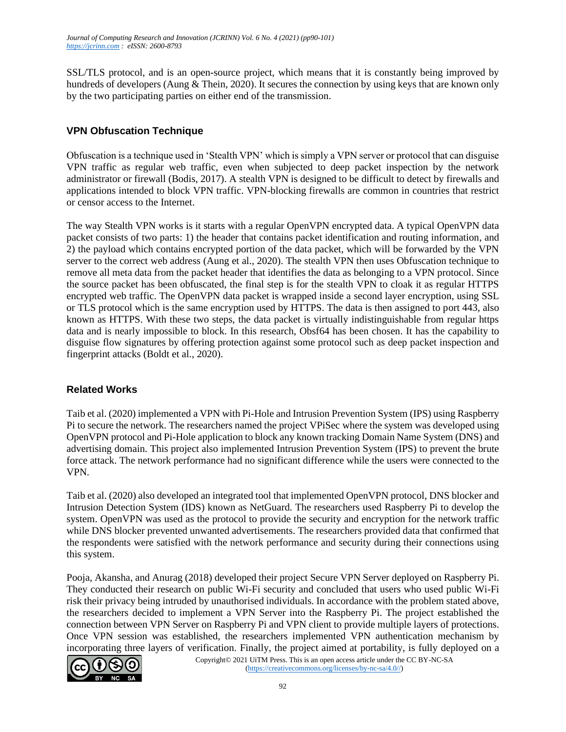SSL/TLS protocol, and is an open-source project, which means that it is constantly being improved by hundreds of developers (Aung & Thein, 2020). It secures the connection by using keys that are known only by the two participating parties on either end of the transmission.

## **VPN Obfuscation Technique**

Obfuscation is a technique used in 'Stealth VPN' which is simply a VPN server or protocol that can disguise VPN traffic as regular web traffic, even when subjected to deep packet inspection by the network administrator or firewall (Bodis, 2017). A stealth VPN is designed to be difficult to detect by firewalls and applications intended to block VPN traffic. VPN-blocking firewalls are common in countries that restrict or censor access to the Internet.

The way Stealth VPN works is it starts with a regular OpenVPN encrypted data. A typical OpenVPN data packet consists of two parts: 1) the header that contains packet identification and routing information, and 2) the payload which contains encrypted portion of the data packet, which will be forwarded by the VPN server to the correct web address (Aung et al., 2020). The stealth VPN then uses Obfuscation technique to remove all meta data from the packet header that identifies the data as belonging to a VPN protocol. Since the source packet has been obfuscated, the final step is for the stealth VPN to cloak it as regular HTTPS encrypted web traffic. The OpenVPN data packet is wrapped inside a second layer encryption, using SSL or TLS protocol which is the same encryption used by HTTPS. The data is then assigned to port 443, also known as HTTPS. With these two steps, the data packet is virtually indistinguishable from regular https data and is nearly impossible to block. In this research, Obsf64 has been chosen. It has the capability to disguise flow signatures by offering protection against some protocol such as deep packet inspection and fingerprint attacks (Boldt et al., 2020).

## **Related Works**

Taib et al. (2020) implemented a VPN with Pi-Hole and Intrusion Prevention System (IPS) using Raspberry Pi to secure the network. The researchers named the project VPiSec where the system was developed using OpenVPN protocol and Pi-Hole application to block any known tracking Domain Name System (DNS) and advertising domain. This project also implemented Intrusion Prevention System (IPS) to prevent the brute force attack. The network performance had no significant difference while the users were connected to the VPN.

Taib et al. (2020) also developed an integrated tool that implemented OpenVPN protocol, DNS blocker and Intrusion Detection System (IDS) known as NetGuard. The researchers used Raspberry Pi to develop the system. OpenVPN was used as the protocol to provide the security and encryption for the network traffic while DNS blocker prevented unwanted advertisements. The researchers provided data that confirmed that the respondents were satisfied with the network performance and security during their connections using this system.

Pooja, Akansha, and Anurag (2018) developed their project Secure VPN Server deployed on Raspberry Pi. They conducted their research on public Wi-Fi security and concluded that users who used public Wi-Fi risk their privacy being intruded by unauthorised individuals. In accordance with the problem stated above, the researchers decided to implement a VPN Server into the Raspberry Pi. The project established the connection between VPN Server on Raspberry Pi and VPN client to provide multiple layers of protections. Once VPN session was established, the researchers implemented VPN authentication mechanism by incorporating three layers of verification. Finally, the project aimed at portability, is fully deployed on a

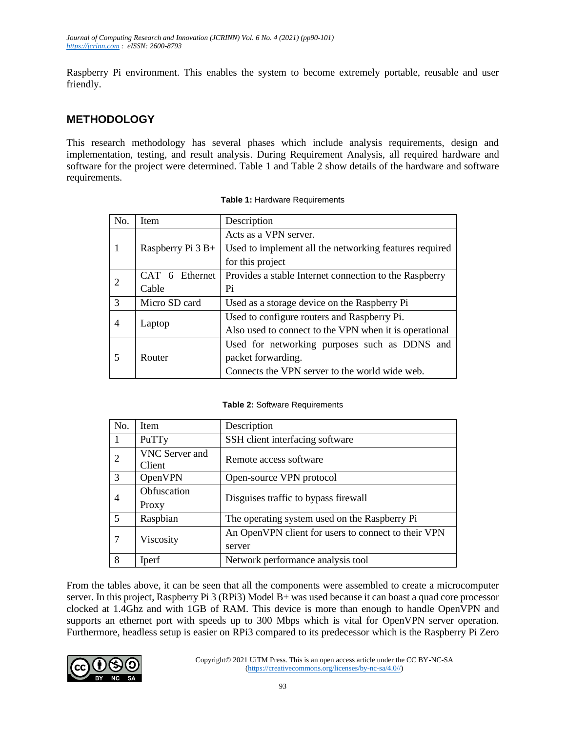Raspberry Pi environment. This enables the system to become extremely portable, reusable and user friendly.

# **METHODOLOGY**

This research methodology has several phases which include analysis requirements, design and implementation, testing, and result analysis. During Requirement Analysis, all required hardware and software for the project were determined. Table 1 and Table 2 show details of the hardware and software requirements.

| No.           | <b>Item</b>        | Description                                            |  |  |
|---------------|--------------------|--------------------------------------------------------|--|--|
|               |                    | Acts as a VPN server.                                  |  |  |
|               | Raspberry Pi $3B+$ | Used to implement all the networking features required |  |  |
|               |                    | for this project                                       |  |  |
|               | CAT 6 Ethernet     | Provides a stable Internet connection to the Raspberry |  |  |
| 2             | Cable              | Pi                                                     |  |  |
| $\mathcal{R}$ | Micro SD card      | Used as a storage device on the Raspberry Pi           |  |  |
| 4             |                    | Used to configure routers and Raspberry Pi.            |  |  |
|               | Laptop             | Also used to connect to the VPN when it is operational |  |  |
| 5             |                    | Used for networking purposes such as DDNS and          |  |  |
|               | Router             | packet forwarding.                                     |  |  |
|               |                    | Connects the VPN server to the world wide web.         |  |  |

**Table 1:** Hardware Requirements

### **Table 2:** Software Requirements

| No. | Item                     | Description                                                   |  |  |
|-----|--------------------------|---------------------------------------------------------------|--|--|
|     | PuTTy                    | SSH client interfacing software                               |  |  |
| 2   | VNC Server and<br>Client | Remote access software                                        |  |  |
| 3   | OpenVPN                  | Open-source VPN protocol                                      |  |  |
|     | Obfuscation<br>Proxy     | Disguises traffic to bypass firewall                          |  |  |
| 5   | Raspbian                 | The operating system used on the Raspberry Pi                 |  |  |
| 7   | Viscosity                | An OpenVPN client for users to connect to their VPN<br>server |  |  |
| 8   | Iperf                    | Network performance analysis tool                             |  |  |

From the tables above, it can be seen that all the components were assembled to create a microcomputer server. In this project, Raspberry Pi 3 (RPi3) Model B+ was used because it can boast a quad core processor clocked at 1.4Ghz and with 1GB of RAM. This device is more than enough to handle OpenVPN and supports an ethernet port with speeds up to 300 Mbps which is vital for OpenVPN server operation. Furthermore, headless setup is easier on RPi3 compared to its predecessor which is the Raspberry Pi Zero

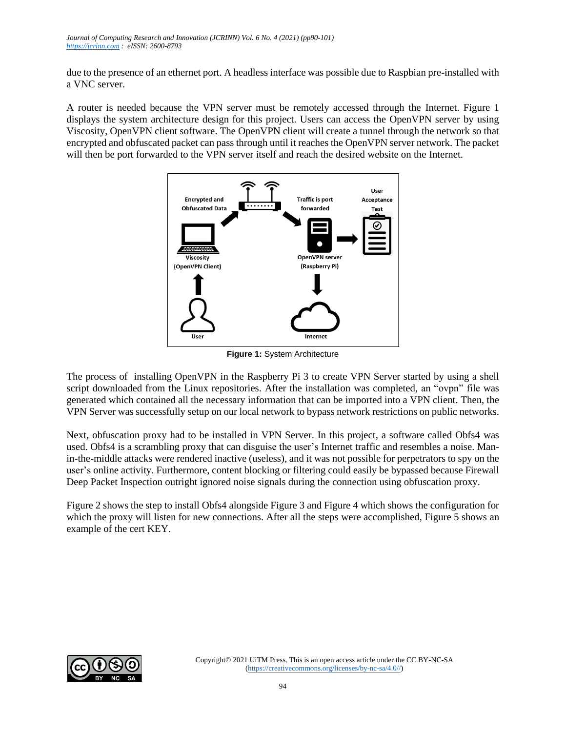due to the presence of an ethernet port. A headless interface was possible due to Raspbian pre-installed with a VNC server.

A router is needed because the VPN server must be remotely accessed through the Internet. Figure 1 displays the system architecture design for this project. Users can access the OpenVPN server by using Viscosity, OpenVPN client software. The OpenVPN client will create a tunnel through the network so that encrypted and obfuscated packet can pass through until it reaches the OpenVPN server network. The packet will then be port forwarded to the VPN server itself and reach the desired website on the Internet.



**Figure 1:** System Architecture

The process of installing OpenVPN in the Raspberry Pi 3 to create VPN Server started by using a shell script downloaded from the Linux repositories. After the installation was completed, an "ovpn" file was generated which contained all the necessary information that can be imported into a VPN client. Then, the VPN Server was successfully setup on our local network to bypass network restrictions on public networks.

Next, obfuscation proxy had to be installed in VPN Server. In this project, a software called Obfs4 was used. Obfs4 is a scrambling proxy that can disguise the user's Internet traffic and resembles a noise. Manin-the-middle attacks were rendered inactive (useless), and it was not possible for perpetrators to spy on the user's online activity. Furthermore, content blocking or filtering could easily be bypassed because Firewall Deep Packet Inspection outright ignored noise signals during the connection using obfuscation proxy.

Figure 2 shows the step to install Obfs4 alongside Figure 3 and Figure 4 which shows the configuration for which the proxy will listen for new connections. After all the steps were accomplished, Figure 5 shows an example of the cert KEY.

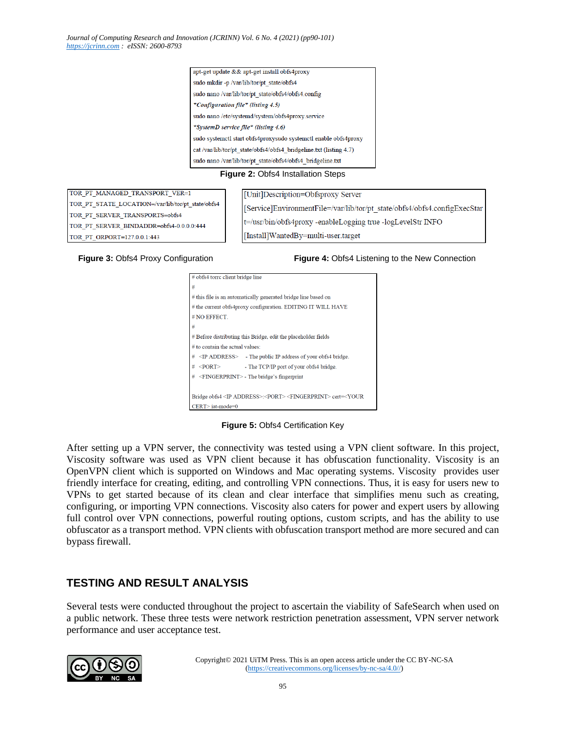| apt-get update && apt-get install obfs4proxy                      |  |  |  |  |  |
|-------------------------------------------------------------------|--|--|--|--|--|
| sudo mkdir -p /var/lib/tor/pt state/obfs4                         |  |  |  |  |  |
| sudo nano /var/lib/tor/pt state/obfs4/obfs4.config                |  |  |  |  |  |
| *Configuration file* (listing 4.5)                                |  |  |  |  |  |
| sudo nano /etc/systemd/system/obfs4proxy.service                  |  |  |  |  |  |
| "SystemD service file" (listing 4.6)                              |  |  |  |  |  |
| sudo systemctl start obfs4proxysudo systemctl enable obfs4proxy   |  |  |  |  |  |
| cat/var/lib/tor/pt state/obfs4/obfs4 bridgeline.txt (listing 4.7) |  |  |  |  |  |
| sudo nano /var/lib/tor/pt state/obfs4/obfs4 bridgeline.txt        |  |  |  |  |  |
|                                                                   |  |  |  |  |  |

### **Figure 2:** Obfs4 Installation Steps

TOR PT MANAGED TRANSPORT VER=1 TOR\_PT\_STATE\_LOCATION=/var/lib/tor/pt\_state/obfs4 TOR\_PT\_SERVER\_TRANSPORTS=obfs4 TOR PT SERVER BINDADDR=obfs4-0.0.0.0:444 TOR PT ORPORT=127.0.0.1:443

[Unit]Description=Obfsproxy Server [Service]EnvironmentFile=/var/lib/tor/pt state/obfs4/obfs4.configExecStar t=/usr/bin/obfs4proxy -enableLogging true -logLevelStr INFO [Install]WantedBy=multi-user.target

**Figure 3:** Obfs4 Proxy Configuration **Figure 4:** Obfs4 Listening to the New Connection

| # obfs4 torrc client bridge line                                                                       |  |  |  |  |  |
|--------------------------------------------------------------------------------------------------------|--|--|--|--|--|
| #                                                                                                      |  |  |  |  |  |
| # this file is an automatically generated bridge line based on                                         |  |  |  |  |  |
| # the current obfs4proxy configuration. EDITING IT WILL HAVE                                           |  |  |  |  |  |
| # NO EFFECT.                                                                                           |  |  |  |  |  |
| #                                                                                                      |  |  |  |  |  |
| # Before distributing this Bridge, edit the placeholder fields                                         |  |  |  |  |  |
| $#$ to contain the actual values:                                                                      |  |  |  |  |  |
| #<br>$\langle$ The public IP address of your obfs4 bridge.                                             |  |  |  |  |  |
| #<br>$\leq$ PORT $>$<br>- The TCP/IP port of your obfs4 bridge.                                        |  |  |  |  |  |
| #<br><fingerprint> - The bridge's fingerprint</fingerprint>                                            |  |  |  |  |  |
|                                                                                                        |  |  |  |  |  |
| Bridge obfs4 <ip address="">:<port> <fingerprint> cert=<your< td=""></your<></fingerprint></port></ip> |  |  |  |  |  |
| $CERT$ iat-mode=0                                                                                      |  |  |  |  |  |

**Figure 5:** Obfs4 Certification Key

After setting up a VPN server, the connectivity was tested using a VPN client software. In this project, Viscosity software was used as VPN client because it has obfuscation functionality. Viscosity is an OpenVPN client which is supported on Windows and Mac operating systems. Viscosity provides user friendly interface for creating, editing, and controlling VPN connections. Thus, it is easy for users new to VPNs to get started because of its clean and clear interface that simplifies menu such as creating, configuring, or importing VPN connections. Viscosity also caters for power and expert users by allowing full control over VPN connections, powerful routing options, custom scripts, and has the ability to use obfuscator as a transport method. VPN clients with obfuscation transport method are more secured and can bypass firewall.

## **TESTING AND RESULT ANALYSIS**

Several tests were conducted throughout the project to ascertain the viability of SafeSearch when used on a public network. These three tests were network restriction penetration assessment, VPN server network performance and user acceptance test.

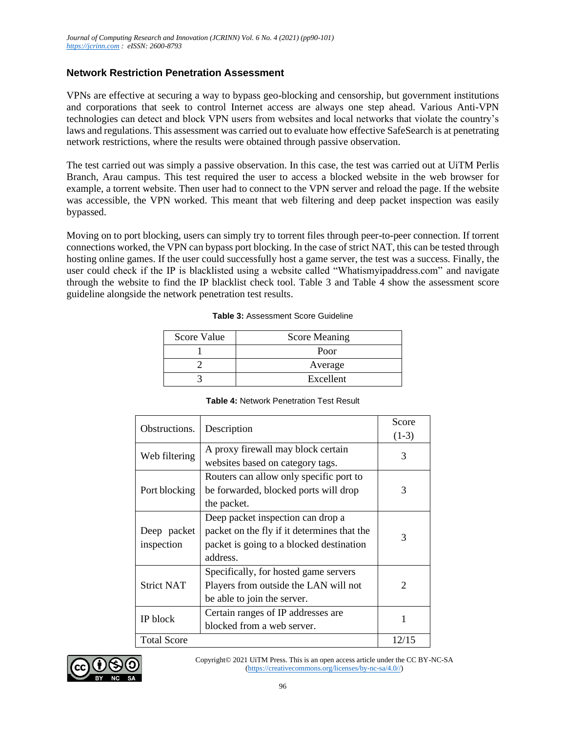### **Network Restriction Penetration Assessment**

VPNs are effective at securing a way to bypass geo-blocking and censorship, but government institutions and corporations that seek to control Internet access are always one step ahead. Various Anti-VPN technologies can detect and block VPN users from websites and local networks that violate the country's laws and regulations. This assessment was carried out to evaluate how effective SafeSearch is at penetrating network restrictions, where the results were obtained through passive observation.

The test carried out was simply a passive observation. In this case, the test was carried out at UiTM Perlis Branch, Arau campus. This test required the user to access a blocked website in the web browser for example, a torrent website. Then user had to connect to the VPN server and reload the page. If the website was accessible, the VPN worked. This meant that web filtering and deep packet inspection was easily bypassed.

Moving on to port blocking, users can simply try to torrent files through peer-to-peer connection. If torrent connections worked, the VPN can bypass port blocking. In the case of strict NAT, this can be tested through hosting online games. If the user could successfully host a game server, the test was a success. Finally, the user could check if the IP is blacklisted using a website called "Whatismyipaddress.com" and navigate through the website to find the IP blacklist check tool. Table 3 and Table 4 show the assessment score guideline alongside the network penetration test results.

### **Table 3:** Assessment Score Guideline

| Score Value | <b>Score Meaning</b> |
|-------------|----------------------|
|             | Poor                 |
|             | Average              |
|             | Excellent            |

### **Table 4:** Network Penetration Test Result

| Obstructions.      | Description                                 | Score                       |  |  |  |
|--------------------|---------------------------------------------|-----------------------------|--|--|--|
|                    |                                             | $(1-3)$                     |  |  |  |
| Web filtering      | A proxy firewall may block certain          | 3                           |  |  |  |
|                    | websites based on category tags.            |                             |  |  |  |
|                    | Routers can allow only specific port to     |                             |  |  |  |
| Port blocking      | be forwarded, blocked ports will drop       | 3                           |  |  |  |
|                    | the packet.                                 |                             |  |  |  |
|                    | Deep packet inspection can drop a           |                             |  |  |  |
| Deep packet        | packet on the fly if it determines that the | 3                           |  |  |  |
| inspection         | packet is going to a blocked destination    |                             |  |  |  |
|                    | address.                                    |                             |  |  |  |
|                    | Specifically, for hosted game servers       |                             |  |  |  |
| <b>Strict NAT</b>  | Players from outside the LAN will not       | $\mathcal{D}_{\mathcal{L}}$ |  |  |  |
|                    | be able to join the server.                 |                             |  |  |  |
|                    | Certain ranges of IP addresses are          | 1                           |  |  |  |
| IP block           | blocked from a web server.                  |                             |  |  |  |
| <b>Total Score</b> |                                             | 12/15                       |  |  |  |

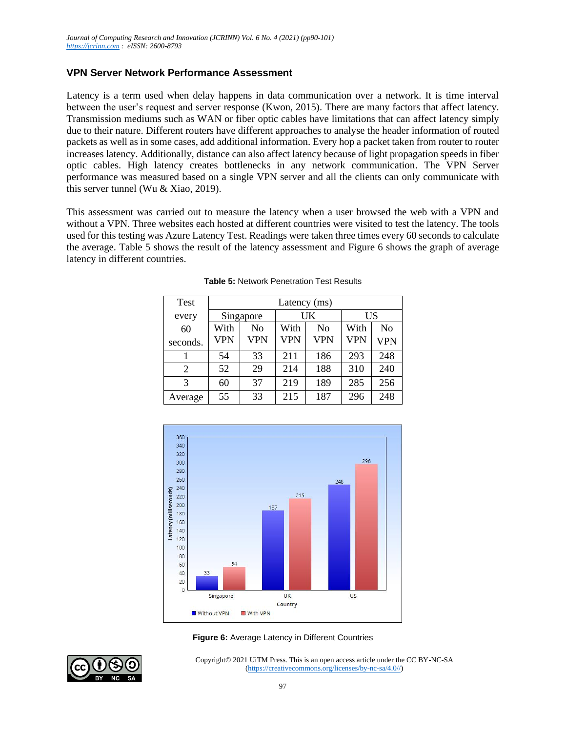### **VPN Server Network Performance Assessment**

Latency is a term used when delay happens in data communication over a network. It is time interval between the user's request and server response (Kwon, 2015). There are many factors that affect latency. Transmission mediums such as WAN or fiber optic cables have limitations that can affect latency simply due to their nature. Different routers have different approaches to analyse the header information of routed packets as well as in some cases, add additional information. Every hop a packet taken from router to router increases latency. Additionally, distance can also affect latency because of light propagation speeds in fiber optic cables. High latency creates bottlenecks in any network communication. The VPN Server performance was measured based on a single VPN server and all the clients can only communicate with this server tunnel (Wu & Xiao, 2019).

This assessment was carried out to measure the latency when a user browsed the web with a VPN and without a VPN. Three websites each hosted at different countries were visited to test the latency. The tools used for this testing was Azure Latency Test. Readings were taken three times every 60 seconds to calculate the average. Table 5 shows the result of the latency assessment and Figure 6 shows the graph of average latency in different countries.

| <b>Test</b>    | Latency (ms) |     |            |                |            |                |
|----------------|--------------|-----|------------|----------------|------------|----------------|
| every          | Singapore    |     | UK         |                | US         |                |
| 60             | With         | No  | With       | N <sub>0</sub> | With       | N <sub>0</sub> |
| seconds.       | <b>VPN</b>   | VPN | <b>VPN</b> | <b>VPN</b>     | <b>VPN</b> | <b>VPN</b>     |
|                | 54           | 33  | 211        | 186            | 293        | 248            |
| $\overline{2}$ | 52           | 29  | 214        | 188            | 310        | 240            |
| 3              | 60           | 37  | 219        | 189            | 285        | 256            |
| Average        | 55           | 33  | 215        | 187            | 296        | 248            |
|                |              |     |            |                |            |                |

|  | <b>Table 5: Network Penetration Test Results</b> |
|--|--------------------------------------------------|
|  |                                                  |





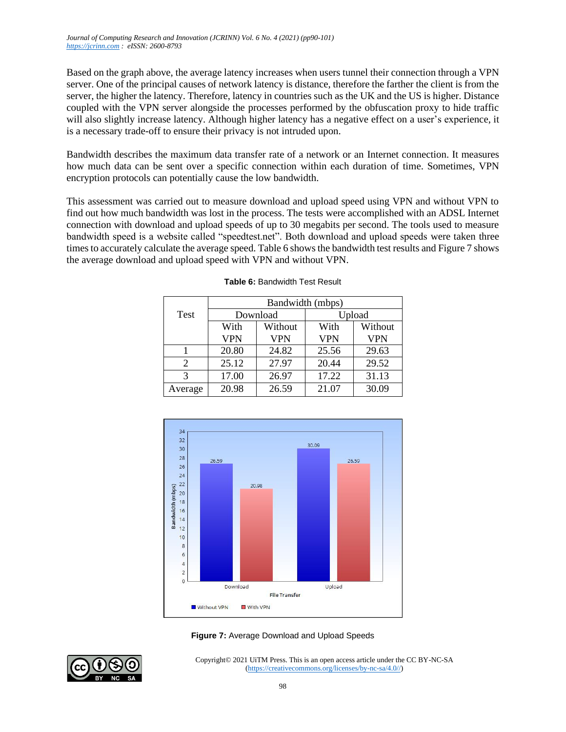Based on the graph above, the average latency increases when users tunnel their connection through a VPN server. One of the principal causes of network latency is distance, therefore the farther the client is from the server, the higher the latency. Therefore, latency in countries such as the UK and the US is higher. Distance coupled with the VPN server alongside the processes performed by the obfuscation proxy to hide traffic will also slightly increase latency. Although higher latency has a negative effect on a user's experience, it is a necessary trade-off to ensure their privacy is not intruded upon.

Bandwidth describes the maximum data transfer rate of a network or an Internet connection. It measures how much data can be sent over a specific connection within each duration of time. Sometimes, VPN encryption protocols can potentially cause the low bandwidth.

This assessment was carried out to measure download and upload speed using VPN and without VPN to find out how much bandwidth was lost in the process. The tests were accomplished with an ADSL Internet connection with download and upload speeds of up to 30 megabits per second. The tools used to measure bandwidth speed is a website called "speedtest.net". Both download and upload speeds were taken three times to accurately calculate the average speed. Table 6 shows the bandwidth test results and Figure 7 shows the average download and upload speed with VPN and without VPN.

|                | Bandwidth (mbps) |            |            |            |  |
|----------------|------------------|------------|------------|------------|--|
| <b>Test</b>    | Download         |            | Upload     |            |  |
|                | With             | Without    | With       | Without    |  |
|                | <b>VPN</b>       | <b>VPN</b> | <b>VPN</b> | <b>VPN</b> |  |
|                | 20.80            | 24.82      | 25.56      | 29.63      |  |
| $\mathfrak{D}$ | 25.12            | 27.97      | 20.44      | 29.52      |  |
| 3              | 17.00            | 26.97      | 17.22      | 31.13      |  |
| Average        | 20.98            | 26.59      | 21.07      | 30.09      |  |

### **Table 6:** Bandwidth Test Result





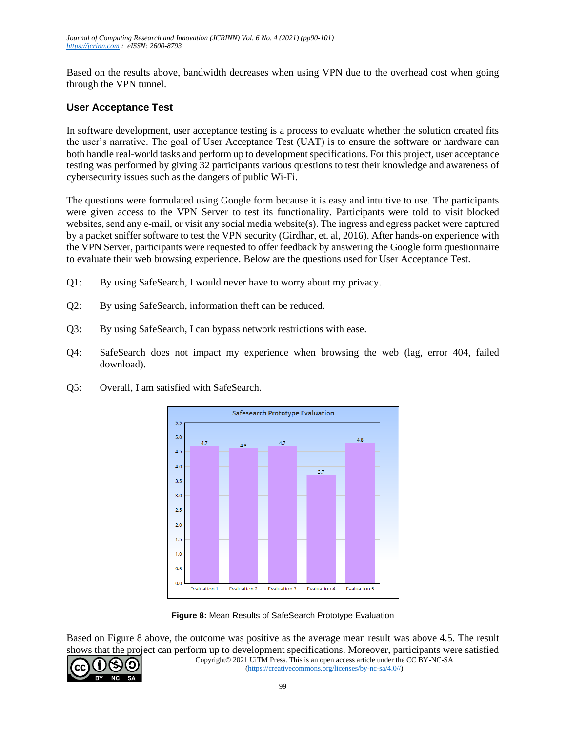Based on the results above, bandwidth decreases when using VPN due to the overhead cost when going through the VPN tunnel.

### **User Acceptance Test**

In software development, user acceptance testing is a process to evaluate whether the solution created fits the user's narrative. The goal of User Acceptance Test (UAT) is to ensure the software or hardware can both handle real-world tasks and perform up to development specifications. For this project, user acceptance testing was performed by giving 32 participants various questions to test their knowledge and awareness of cybersecurity issues such as the dangers of public Wi-Fi.

The questions were formulated using Google form because it is easy and intuitive to use. The participants were given access to the VPN Server to test its functionality. Participants were told to visit blocked websites, send any e-mail, or visit any social media website(s). The ingress and egress packet were captured by a packet sniffer software to test the VPN security (Girdhar, et. al, 2016). After hands-on experience with the VPN Server, participants were requested to offer feedback by answering the Google form questionnaire to evaluate their web browsing experience. Below are the questions used for User Acceptance Test.

- Q1: By using SafeSearch, I would never have to worry about my privacy.
- Q2: By using SafeSearch, information theft can be reduced.
- Q3: By using SafeSearch, I can bypass network restrictions with ease.
- Q4: SafeSearch does not impact my experience when browsing the web (lag, error 404, failed download).



Q5: Overall, I am satisfied with SafeSearch.

**Figure 8:** Mean Results of SafeSearch Prototype Evaluation

Based on Figure 8 above, the outcome was positive as the average mean result was above 4.5. The result shows that the project can perform up to development specifications. Moreover, participants were satisfied

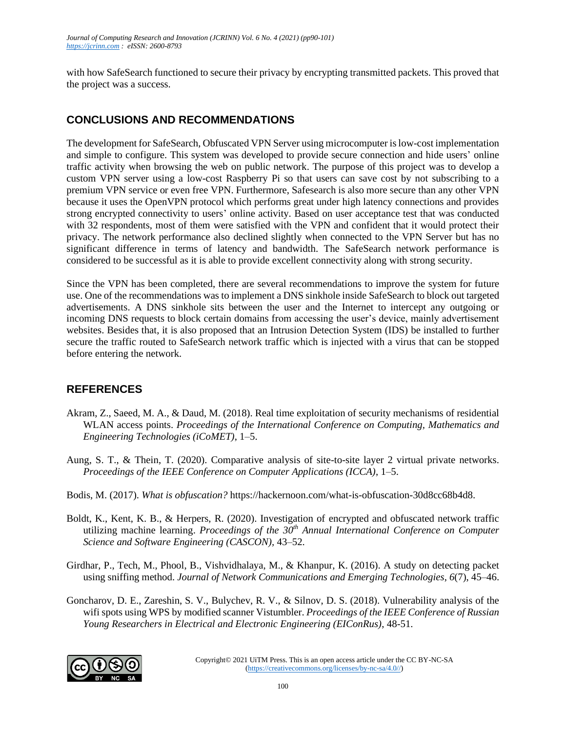with how SafeSearch functioned to secure their privacy by encrypting transmitted packets. This proved that the project was a success.

# **CONCLUSIONS AND RECOMMENDATIONS**

The development for SafeSearch, Obfuscated VPN Server using microcomputer is low-cost implementation and simple to configure. This system was developed to provide secure connection and hide users' online traffic activity when browsing the web on public network. The purpose of this project was to develop a custom VPN server using a low-cost Raspberry Pi so that users can save cost by not subscribing to a premium VPN service or even free VPN. Furthermore, Safesearch is also more secure than any other VPN because it uses the OpenVPN protocol which performs great under high latency connections and provides strong encrypted connectivity to users' online activity. Based on user acceptance test that was conducted with 32 respondents, most of them were satisfied with the VPN and confident that it would protect their privacy. The network performance also declined slightly when connected to the VPN Server but has no significant difference in terms of latency and bandwidth. The SafeSearch network performance is considered to be successful as it is able to provide excellent connectivity along with strong security.

Since the VPN has been completed, there are several recommendations to improve the system for future use. One of the recommendations was to implement a DNS sinkhole inside SafeSearch to block out targeted advertisements. A DNS sinkhole sits between the user and the Internet to intercept any outgoing or incoming DNS requests to block certain domains from accessing the user's device, mainly advertisement websites. Besides that, it is also proposed that an Intrusion Detection System (IDS) be installed to further secure the traffic routed to SafeSearch network traffic which is injected with a virus that can be stopped before entering the network.

# **REFERENCES**

- Akram, Z., Saeed, M. A., & Daud, M. (2018). Real time exploitation of security mechanisms of residential WLAN access points. *Proceedings of the International Conference on Computing, Mathematics and Engineering Technologies (iCoMET)*, 1–5.
- Aung, S. T., & Thein, T. (2020). Comparative analysis of site-to-site layer 2 virtual private networks. *Proceedings of the IEEE Conference on Computer Applications (ICCA)*, 1–5.
- Bodis, M. (2017). *What is obfuscation?* https://hackernoon.com/what-is-obfuscation-30d8cc68b4d8.
- Boldt, K., Kent, K. B., & Herpers, R. (2020). Investigation of encrypted and obfuscated network traffic utilizing machine learning. *Proceedings of the 30th Annual International Conference on Computer Science and Software Engineering (CASCON),* 43–52.
- Girdhar, P., Tech, M., Phool, B., Vishvidhalaya, M., & Khanpur, K. (2016). A study on detecting packet using sniffing method. *Journal of Network Communications and Emerging Technologies*, *6*(7), 45–46.
- Goncharov, D. E., Zareshin, S. V., Bulychev, R. V., & Silnov, D. S. (2018). Vulnerability analysis of the wifi spots using WPS by modified scanner Vistumbler. *Proceedings of the IEEE Conference of Russian Young Researchers in Electrical and Electronic Engineering (EIConRus)*, 48-51.